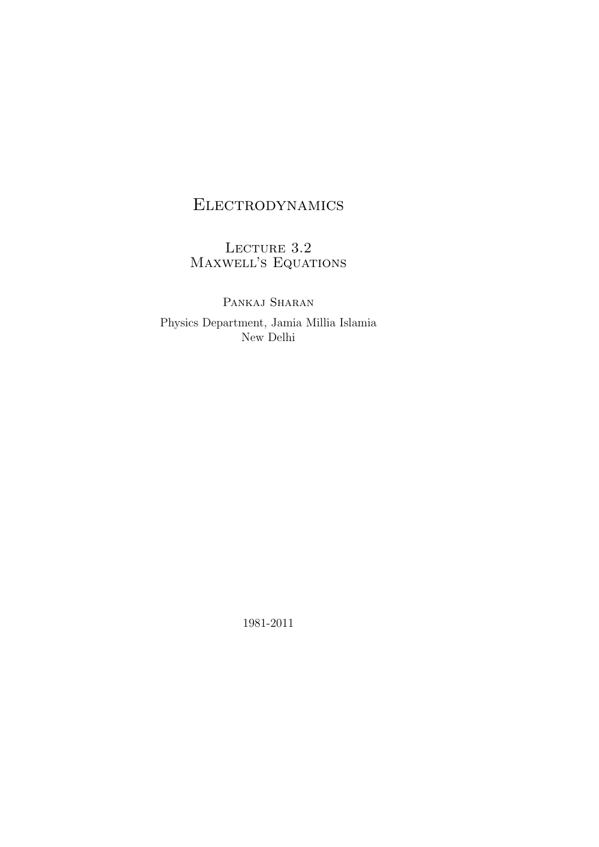# Electrodynamics

LECTURE 3.2 Maxwell's Equations

PANKAJ SHARAN Physics Department, Jamia Millia Islamia New Delhi

1981-2011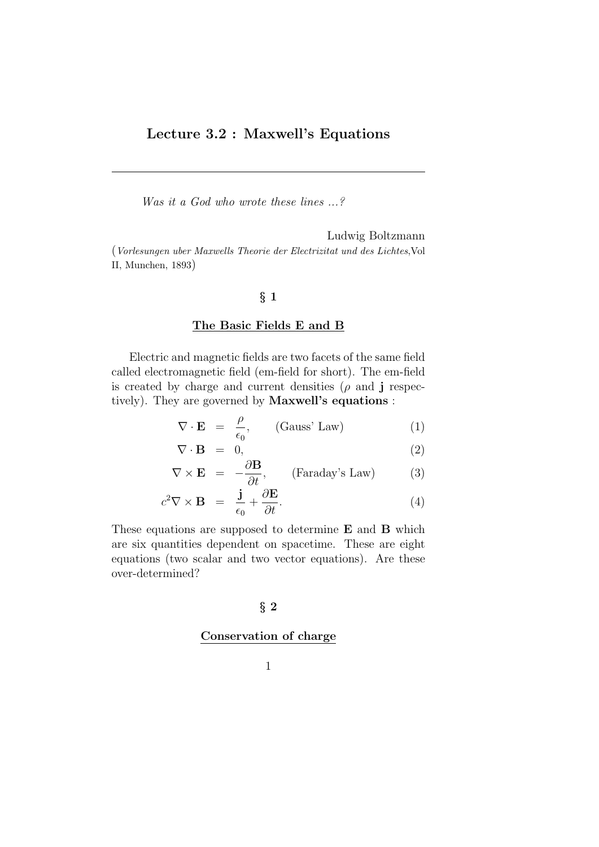## Lecture 3.2 : Maxwell's Equations

Was it a God who wrote these lines  $\ldots$ ?

Ludwig Boltzmann (Vorlesungen uber Maxwells Theorie der Electrizitat und des Lichtes,Vol II, Munchen, 1893)

## § 1

#### The Basic Fields E and B

Electric and magnetic fields are two facets of the same field called electromagnetic field (em-field for short). The em-field is created by charge and current densities  $(\rho \text{ and } j \text{ respectively})$ tively). They are governed by Maxwell's equations :

$$
\nabla \cdot \mathbf{E} = \frac{\rho}{\epsilon_0}, \qquad \text{(Gauss' Law)} \tag{1}
$$

$$
\nabla \cdot \mathbf{B} = 0, \tag{2}
$$

$$
\nabla \times \mathbf{E} = -\frac{\partial \mathbf{B}}{\partial t}, \qquad \text{(Faraday's Law)} \tag{3}
$$

$$
c^2 \nabla \times \mathbf{B} = \frac{\mathbf{j}}{\epsilon_0} + \frac{\partial \mathbf{E}}{\partial t}.
$$
 (4)

These equations are supposed to determine E and B which are six quantities dependent on spacetime. These are eight equations (two scalar and two vector equations). Are these over-determined?

#### § 2

#### Conservation of charge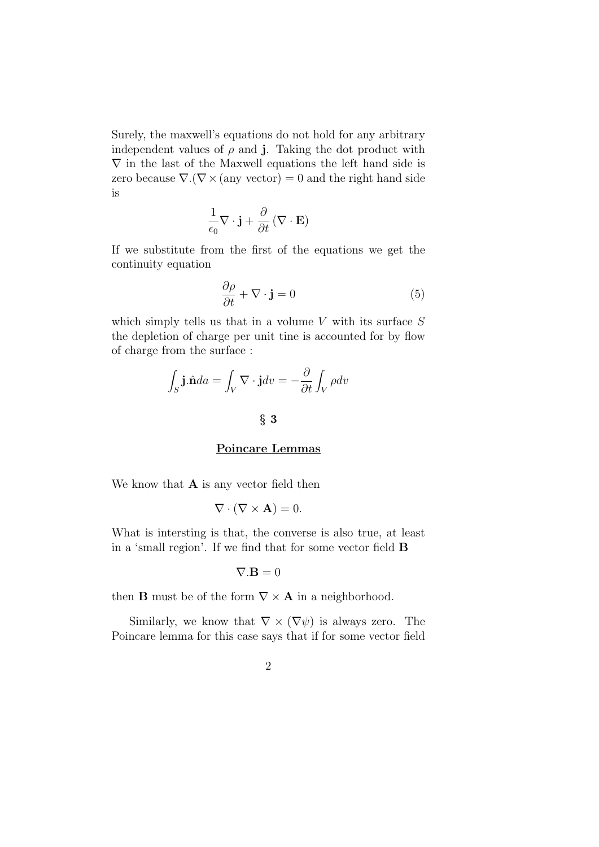Surely, the maxwell's equations do not hold for any arbitrary independent values of  $\rho$  and j. Taking the dot product with  $\nabla$  in the last of the Maxwell equations the left hand side is zero because  $\nabla \cdot (\nabla \times ($ any vector) = 0 and the right hand side is

$$
\frac{1}{\epsilon_0} \nabla \cdot \mathbf{j} + \frac{\partial}{\partial t} (\nabla \cdot \mathbf{E})
$$

If we substitute from the first of the equations we get the continuity equation

$$
\frac{\partial \rho}{\partial t} + \nabla \cdot \mathbf{j} = 0 \tag{5}
$$

which simply tells us that in a volume  $V$  with its surface  $S$ the depletion of charge per unit tine is accounted for by flow of charge from the surface :

$$
\int_{S} \mathbf{j} \cdot \hat{\mathbf{n}} da = \int_{V} \nabla \cdot \mathbf{j} dv = -\frac{\partial}{\partial t} \int_{V} \rho dv
$$

## § 3

#### Poincare Lemmas

We know that  $A$  is any vector field then

$$
\nabla \cdot (\nabla \times \mathbf{A}) = 0.
$$

What is intersting is that, the converse is also true, at least in a 'small region'. If we find that for some vector field B

$$
\nabla.\mathbf{B}=0
$$

then **B** must be of the form  $\nabla \times \mathbf{A}$  in a neighborhood.

Similarly, we know that  $\nabla \times (\nabla \psi)$  is always zero. The Poincare lemma for this case says that if for some vector field

$$
2 \\
$$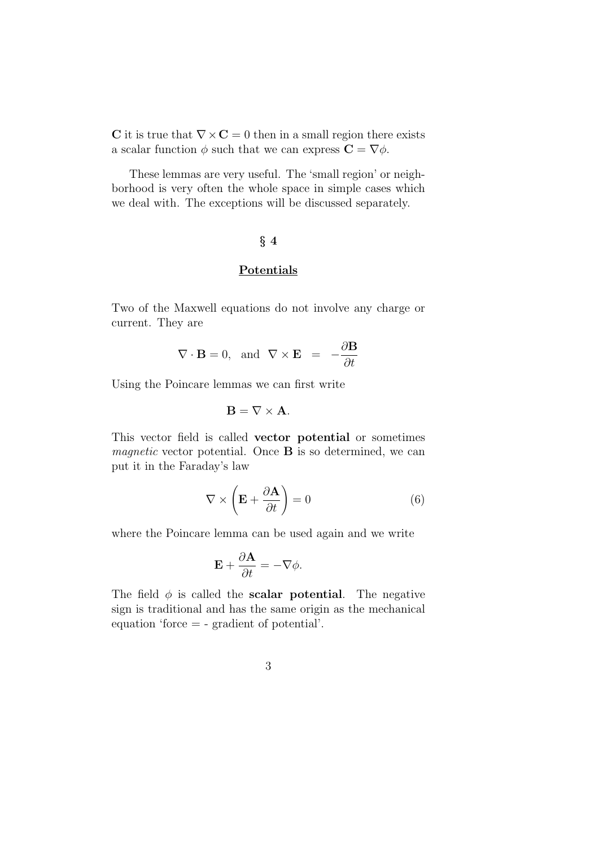C it is true that  $\nabla \times \mathbf{C} = 0$  then in a small region there exists a scalar function  $\phi$  such that we can express  $\mathbf{C} = \nabla \phi$ .

These lemmas are very useful. The 'small region' or neighborhood is very often the whole space in simple cases which we deal with. The exceptions will be discussed separately.

## $§$  4

## Potentials

Two of the Maxwell equations do not involve any charge or current. They are

$$
\nabla \cdot \mathbf{B} = 0, \text{ and } \nabla \times \mathbf{E} = -\frac{\partial \mathbf{B}}{\partial t}
$$

Using the Poincare lemmas we can first write

$$
\mathbf{B} = \nabla \times \mathbf{A}.
$$

This vector field is called vector potential or sometimes *magnetic* vector potential. Once  $\bf{B}$  is so determined, we can put it in the Faraday's law

$$
\nabla \times \left( \mathbf{E} + \frac{\partial \mathbf{A}}{\partial t} \right) = 0 \tag{6}
$$

where the Poincare lemma can be used again and we write

$$
\mathbf{E} + \frac{\partial \mathbf{A}}{\partial t} = -\nabla \phi.
$$

The field  $\phi$  is called the **scalar potential**. The negative sign is traditional and has the same origin as the mechanical equation 'force = - gradient of potential'.

3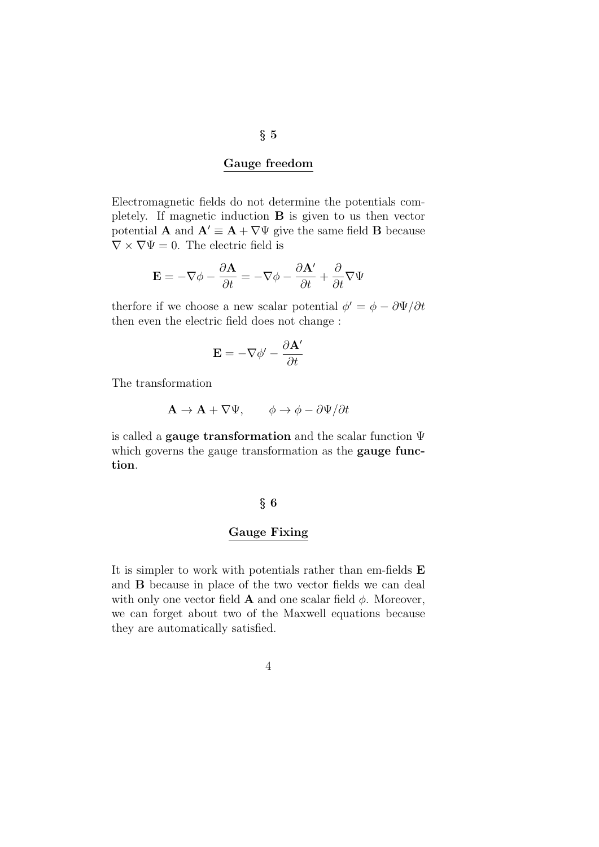#### Gauge freedom

Electromagnetic fields do not determine the potentials completely. If magnetic induction B is given to us then vector potential **A** and  $A' \equiv A + \nabla \Psi$  give the same field **B** because  $\nabla \times \nabla \Psi = 0$ . The electric field is

$$
\mathbf{E} = -\nabla \phi - \frac{\partial \mathbf{A}}{\partial t} = -\nabla \phi - \frac{\partial \mathbf{A}'}{\partial t} + \frac{\partial}{\partial t} \nabla \Psi
$$

therfore if we choose a new scalar potential  $\phi' = \phi - \partial \Psi / \partial t$ then even the electric field does not change :

$$
\mathbf{E} = -\nabla \phi' - \frac{\partial \mathbf{A}'}{\partial t}
$$

The transformation

$$
\mathbf{A} \to \mathbf{A} + \nabla \Psi, \qquad \phi \to \phi - \partial \Psi / \partial t
$$

is called a **gauge transformation** and the scalar function  $\Psi$ which governs the gauge transformation as the **gauge func**tion.

#### § 6

#### Gauge Fixing

It is simpler to work with potentials rather than em-fields E and B because in place of the two vector fields we can deal with only one vector field **A** and one scalar field  $\phi$ . Moreover, we can forget about two of the Maxwell equations because they are automatically satisfied.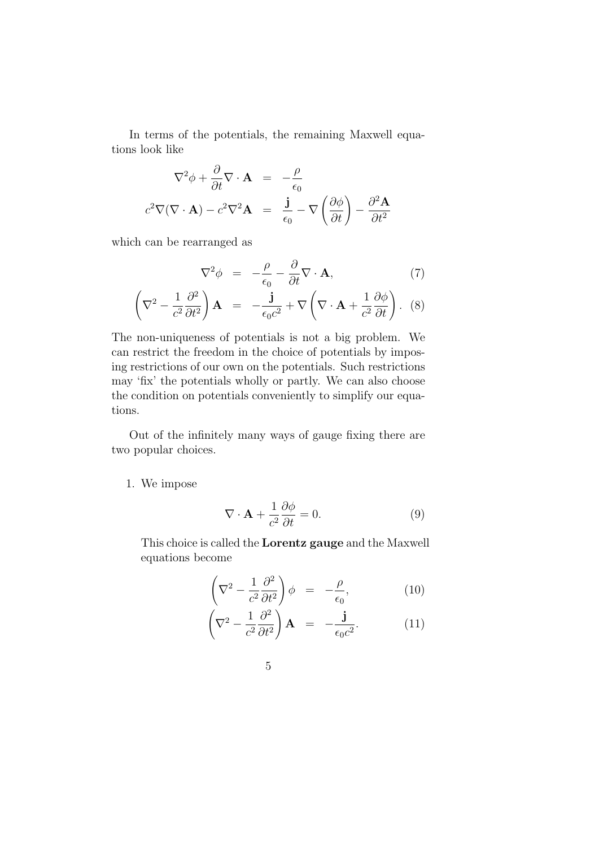In terms of the potentials, the remaining Maxwell equations look like

$$
\nabla^2 \phi + \frac{\partial}{\partial t} \nabla \cdot \mathbf{A} = -\frac{\rho}{\epsilon_0}
$$
  

$$
c^2 \nabla (\nabla \cdot \mathbf{A}) - c^2 \nabla^2 \mathbf{A} = \frac{\mathbf{j}}{\epsilon_0} - \nabla \left( \frac{\partial \phi}{\partial t} \right) - \frac{\partial^2 \mathbf{A}}{\partial t^2}
$$

which can be rearranged as

$$
\nabla^2 \phi = -\frac{\rho}{\epsilon_0} - \frac{\partial}{\partial t} \nabla \cdot \mathbf{A},\tag{7}
$$

$$
\left(\nabla^2 - \frac{1}{c^2} \frac{\partial^2}{\partial t^2}\right) \mathbf{A} = -\frac{\mathbf{j}}{\epsilon_0 c^2} + \nabla \left(\nabla \cdot \mathbf{A} + \frac{1}{c^2} \frac{\partial \phi}{\partial t}\right). (8)
$$

The non-uniqueness of potentials is not a big problem. We can restrict the freedom in the choice of potentials by imposing restrictions of our own on the potentials. Such restrictions may 'fix' the potentials wholly or partly. We can also choose the condition on potentials conveniently to simplify our equations.

Out of the infinitely many ways of gauge fixing there are two popular choices.

1. We impose

$$
\nabla \cdot \mathbf{A} + \frac{1}{c^2} \frac{\partial \phi}{\partial t} = 0.
$$
 (9)

This choice is called the Lorentz gauge and the Maxwell equations become

$$
\left(\nabla^2 - \frac{1}{c^2} \frac{\partial^2}{\partial t^2}\right) \phi = -\frac{\rho}{\epsilon_0},\tag{10}
$$

$$
\left(\nabla^2 - \frac{1}{c^2} \frac{\partial^2}{\partial t^2}\right) \mathbf{A} = -\frac{\mathbf{j}}{\epsilon_0 c^2}.
$$
 (11)

$$
5\:
$$